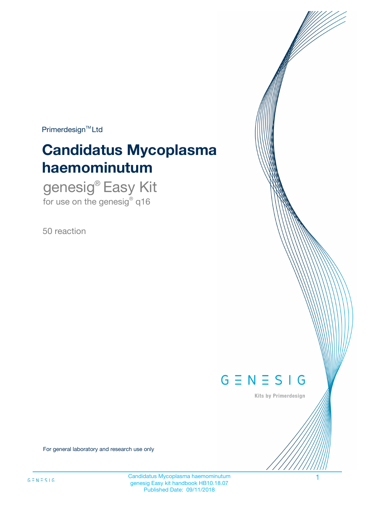$Primerdesign^{\text{TM}}Ltd$ 

# **Candidatus Mycoplasma haemominutum**

genesig® Easy Kit for use on the genesig $^{\circ}$  q16

50 reaction



Kits by Primerdesign

For general laboratory and research use only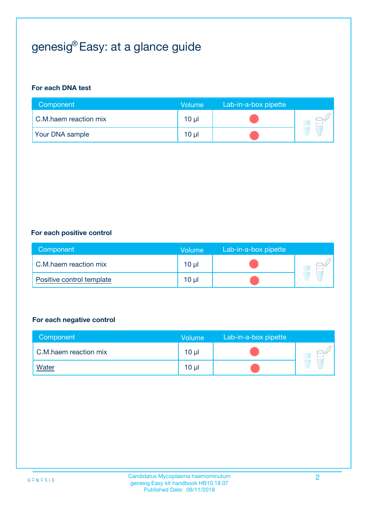# genesig® Easy: at a glance guide

#### **For each DNA test**

| Component              | <b>Volume</b> | Lab-in-a-box pipette |  |
|------------------------|---------------|----------------------|--|
| C.M.haem reaction mix  | 10 µl         |                      |  |
| <b>Your DNA sample</b> | 10 µl         |                      |  |

#### **For each positive control**

| Component                 | Volume          | Lab-in-a-box pipette |  |
|---------------------------|-----------------|----------------------|--|
| C.M.haem reaction mix     | 10 <sub>µ</sub> |                      |  |
| Positive control template | 10 <sub>µ</sub> |                      |  |

#### **For each negative control**

| Component             | Volume          | Lab-in-a-box pipette |  |
|-----------------------|-----------------|----------------------|--|
| C.M.haem reaction mix | 10 <sub>µ</sub> |                      |  |
| <b>Water</b>          | 10 <sub>µ</sub> |                      |  |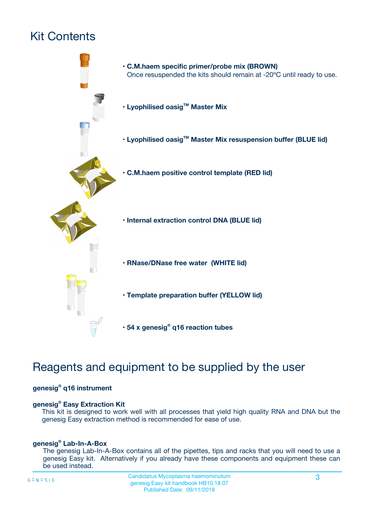# Kit Contents



## Reagents and equipment to be supplied by the user

#### **genesig® q16 instrument**

#### **genesig® Easy Extraction Kit**

This kit is designed to work well with all processes that yield high quality RNA and DNA but the genesig Easy extraction method is recommended for ease of use.

#### **genesig® Lab-In-A-Box**

The genesig Lab-In-A-Box contains all of the pipettes, tips and racks that you will need to use a genesig Easy kit. Alternatively if you already have these components and equipment these can be used instead.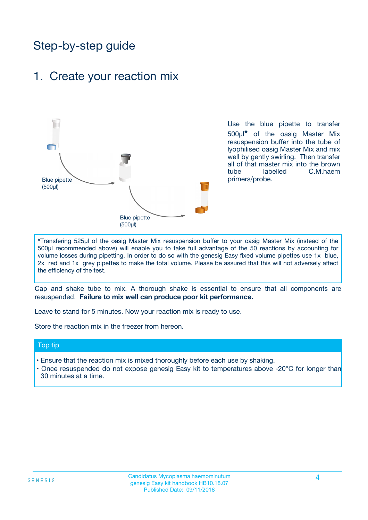## Step-by-step guide

### 1. Create your reaction mix



Use the blue pipette to transfer 500µl**\*** of the oasig Master Mix resuspension buffer into the tube of lyophilised oasig Master Mix and mix well by gently swirling. Then transfer all of that master mix into the brown tube labelled C.M.haem primers/probe.

**\***Transfering 525µl of the oasig Master Mix resuspension buffer to your oasig Master Mix (instead of the 500µl recommended above) will enable you to take full advantage of the 50 reactions by accounting for volume losses during pipetting. In order to do so with the genesig Easy fixed volume pipettes use 1x blue, 2x red and 1x grey pipettes to make the total volume. Please be assured that this will not adversely affect the efficiency of the test.

Cap and shake tube to mix. A thorough shake is essential to ensure that all components are resuspended. **Failure to mix well can produce poor kit performance.**

Leave to stand for 5 minutes. Now your reaction mix is ready to use.

Store the reaction mix in the freezer from hereon.

#### Top tip

- Ensure that the reaction mix is mixed thoroughly before each use by shaking.
- Once resuspended do not expose genesig Easy kit to temperatures above -20°C for longer than 30 minutes at a time.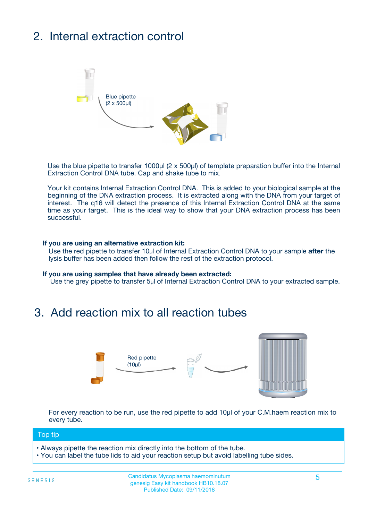# 2. Internal extraction control



Use the blue pipette to transfer 1000µl (2 x 500µl) of template preparation buffer into the Internal Extraction Control DNA tube. Cap and shake tube to mix.

Your kit contains Internal Extraction Control DNA. This is added to your biological sample at the beginning of the DNA extraction process. It is extracted along with the DNA from your target of interest. The q16 will detect the presence of this Internal Extraction Control DNA at the same time as your target. This is the ideal way to show that your DNA extraction process has been successful.

#### **If you are using an alternative extraction kit:**

Use the red pipette to transfer 10µl of Internal Extraction Control DNA to your sample **after** the lysis buffer has been added then follow the rest of the extraction protocol.

#### **If you are using samples that have already been extracted:**

Use the grey pipette to transfer 5µl of Internal Extraction Control DNA to your extracted sample.

## 3. Add reaction mix to all reaction tubes



For every reaction to be run, use the red pipette to add 10µl of your C.M.haem reaction mix to every tube.

#### Top tip

- Always pipette the reaction mix directly into the bottom of the tube.
- You can label the tube lids to aid your reaction setup but avoid labelling tube sides.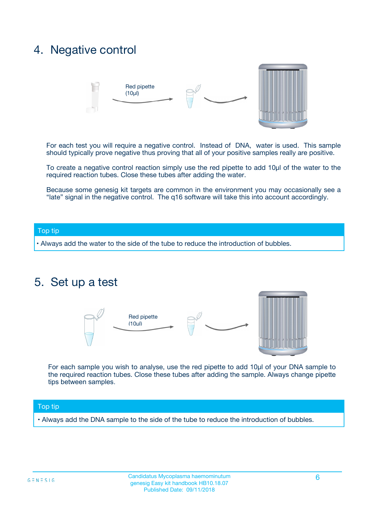## 4. Negative control



For each test you will require a negative control. Instead of DNA, water is used. This sample should typically prove negative thus proving that all of your positive samples really are positive.

To create a negative control reaction simply use the red pipette to add 10µl of the water to the required reaction tubes. Close these tubes after adding the water.

Because some genesig kit targets are common in the environment you may occasionally see a "late" signal in the negative control. The q16 software will take this into account accordingly.

#### Top tip

**•** Always add the water to the side of the tube to reduce the introduction of bubbles.

### 5. Set up a test



For each sample you wish to analyse, use the red pipette to add 10µl of your DNA sample to the required reaction tubes. Close these tubes after adding the sample. Always change pipette tips between samples.

#### Top tip

**•** Always add the DNA sample to the side of the tube to reduce the introduction of bubbles.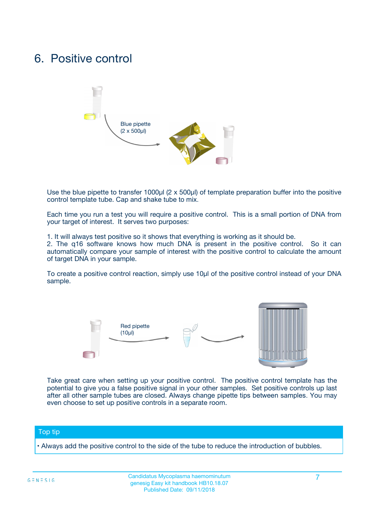## 6. Positive control



Use the blue pipette to transfer 1000µl (2 x 500µl) of template preparation buffer into the positive control template tube. Cap and shake tube to mix.

Each time you run a test you will require a positive control. This is a small portion of DNA from your target of interest. It serves two purposes:

1. It will always test positive so it shows that everything is working as it should be.

2. The q16 software knows how much DNA is present in the positive control. So it can automatically compare your sample of interest with the positive control to calculate the amount of target DNA in your sample.

To create a positive control reaction, simply use 10µl of the positive control instead of your DNA sample.



Take great care when setting up your positive control. The positive control template has the potential to give you a false positive signal in your other samples. Set positive controls up last after all other sample tubes are closed. Always change pipette tips between samples. You may even choose to set up positive controls in a separate room.

#### Top tip

**•** Always add the positive control to the side of the tube to reduce the introduction of bubbles.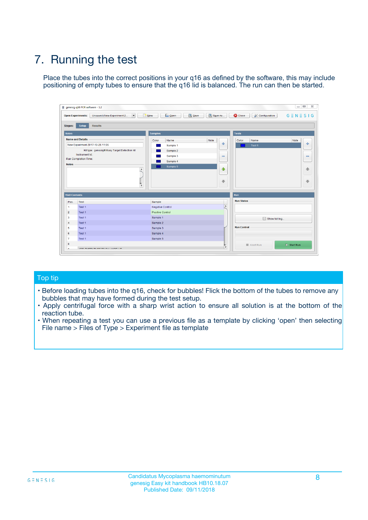# 7. Running the test

Place the tubes into the correct positions in your q16 as defined by the software, this may include positioning of empty tubes to ensure that the q16 lid is balanced. The run can then be started.

| qenesig q16 PCR software - 1.2                                               |                                   | $\Box$                                                                                          |
|------------------------------------------------------------------------------|-----------------------------------|-------------------------------------------------------------------------------------------------|
| $\vert \cdot \vert$<br>Unsaved (New Experiment 2<br><b>Open Experiments:</b> | <b>D</b> Open<br>R <sub>New</sub> | Save<br>Save As<br><b>C</b> Close<br><b>&amp; Configuration</b><br>$G \equiv N \equiv S \mid G$ |
| <b>Setup</b><br><b>Results</b><br>Stages:                                    |                                   |                                                                                                 |
| <b>Notes</b>                                                                 | <b>Samples</b>                    | <b>Tests</b>                                                                                    |
| <b>Name and Details</b>                                                      | Name<br>Color                     | Note<br>Color<br>Note<br>Name                                                                   |
| New Experiment 2017-10-26 11:06                                              | Sample 1                          | ÷<br>条<br>Test 1                                                                                |
| Kit type: genesig® Easy Target Detection kit                                 | Sample 2                          |                                                                                                 |
| Instrument Id.:                                                              | Sample 3                          | $\qquad \qquad \blacksquare$<br>$\qquad \qquad \blacksquare$                                    |
| <b>Run Completion Time:</b>                                                  | Sample 4                          |                                                                                                 |
| <b>Notes</b><br><b>A</b><br>$\overline{\mathbf v}$                           | Sample 5                          | ♦<br>4<br>÷<br>₩                                                                                |
| <b>Well Contents</b>                                                         |                                   | <b>Run</b>                                                                                      |
| Pos.<br>Test                                                                 | Sample                            | <b>Run Status</b>                                                                               |
| Test 1<br>$\blacktriangleleft$                                               | Negative Control                  | $\blacktriangle$                                                                                |
| $\overline{2}$<br>Test 1                                                     | <b>Positive Control</b>           |                                                                                                 |
| $\overline{\mathbf{3}}$<br>Test 1                                            | Sample 1                          | Show full log                                                                                   |
| Test 1<br>4                                                                  | Sample 2                          |                                                                                                 |
| 5<br>Test 1                                                                  | Sample 3                          | <b>Run Control</b>                                                                              |
| Test 1<br>6                                                                  | Sample 4                          |                                                                                                 |
| $\overline{7}$<br>Test 1                                                     | Sample 5                          |                                                                                                 |
| 8                                                                            |                                   | $\triangleright$ Start Run<br>Abort Run                                                         |
| <b>JOD FURTY TUDE TO BUILDED IN</b>                                          |                                   | $\overline{\mathbf{v}}$                                                                         |

#### Top tip

- Before loading tubes into the q16, check for bubbles! Flick the bottom of the tubes to remove any bubbles that may have formed during the test setup.
- Apply centrifugal force with a sharp wrist action to ensure all solution is at the bottom of the reaction tube.
- When repeating a test you can use a previous file as a template by clicking 'open' then selecting File name > Files of Type > Experiment file as template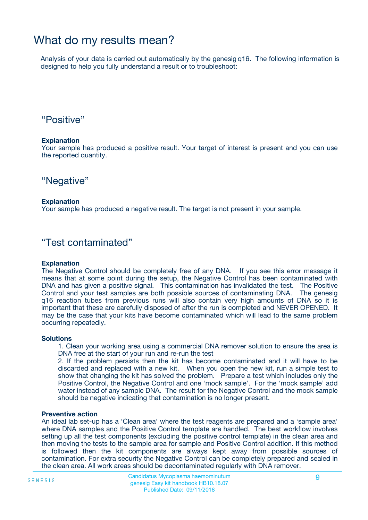## What do my results mean?

Analysis of your data is carried out automatically by the genesig q16. The following information is designed to help you fully understand a result or to troubleshoot:

### "Positive"

#### **Explanation**

Your sample has produced a positive result. Your target of interest is present and you can use the reported quantity.

"Negative"

#### **Explanation**

Your sample has produced a negative result. The target is not present in your sample.

### "Test contaminated"

#### **Explanation**

The Negative Control should be completely free of any DNA. If you see this error message it means that at some point during the setup, the Negative Control has been contaminated with DNA and has given a positive signal. This contamination has invalidated the test. The Positive Control and your test samples are both possible sources of contaminating DNA. The genesig q16 reaction tubes from previous runs will also contain very high amounts of DNA so it is important that these are carefully disposed of after the run is completed and NEVER OPENED. It may be the case that your kits have become contaminated which will lead to the same problem occurring repeatedly.

#### **Solutions**

1. Clean your working area using a commercial DNA remover solution to ensure the area is DNA free at the start of your run and re-run the test

2. If the problem persists then the kit has become contaminated and it will have to be discarded and replaced with a new kit. When you open the new kit, run a simple test to show that changing the kit has solved the problem. Prepare a test which includes only the Positive Control, the Negative Control and one 'mock sample'. For the 'mock sample' add water instead of any sample DNA. The result for the Negative Control and the mock sample should be negative indicating that contamination is no longer present.

#### **Preventive action**

An ideal lab set-up has a 'Clean area' where the test reagents are prepared and a 'sample area' where DNA samples and the Positive Control template are handled. The best workflow involves setting up all the test components (excluding the positive control template) in the clean area and then moving the tests to the sample area for sample and Positive Control addition. If this method is followed then the kit components are always kept away from possible sources of contamination. For extra security the Negative Control can be completely prepared and sealed in the clean area. All work areas should be decontaminated regularly with DNA remover.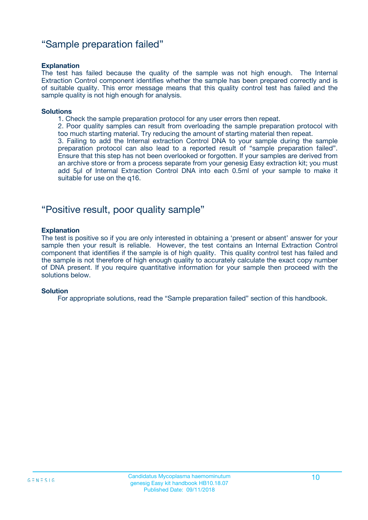### "Sample preparation failed"

#### **Explanation**

The test has failed because the quality of the sample was not high enough. The Internal Extraction Control component identifies whether the sample has been prepared correctly and is of suitable quality. This error message means that this quality control test has failed and the sample quality is not high enough for analysis.

#### **Solutions**

1. Check the sample preparation protocol for any user errors then repeat.

2. Poor quality samples can result from overloading the sample preparation protocol with too much starting material. Try reducing the amount of starting material then repeat.

3. Failing to add the Internal extraction Control DNA to your sample during the sample preparation protocol can also lead to a reported result of "sample preparation failed". Ensure that this step has not been overlooked or forgotten. If your samples are derived from an archive store or from a process separate from your genesig Easy extraction kit; you must add 5µl of Internal Extraction Control DNA into each 0.5ml of your sample to make it suitable for use on the q16.

### "Positive result, poor quality sample"

#### **Explanation**

The test is positive so if you are only interested in obtaining a 'present or absent' answer for your sample then your result is reliable. However, the test contains an Internal Extraction Control component that identifies if the sample is of high quality. This quality control test has failed and the sample is not therefore of high enough quality to accurately calculate the exact copy number of DNA present. If you require quantitative information for your sample then proceed with the solutions below.

#### **Solution**

For appropriate solutions, read the "Sample preparation failed" section of this handbook.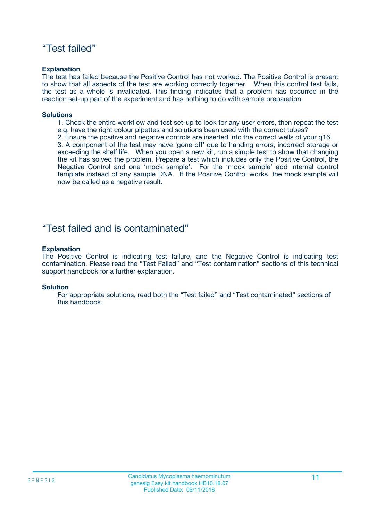### "Test failed"

#### **Explanation**

The test has failed because the Positive Control has not worked. The Positive Control is present to show that all aspects of the test are working correctly together. When this control test fails, the test as a whole is invalidated. This finding indicates that a problem has occurred in the reaction set-up part of the experiment and has nothing to do with sample preparation.

#### **Solutions**

- 1. Check the entire workflow and test set-up to look for any user errors, then repeat the test e.g. have the right colour pipettes and solutions been used with the correct tubes?
- 2. Ensure the positive and negative controls are inserted into the correct wells of your q16.

3. A component of the test may have 'gone off' due to handing errors, incorrect storage or exceeding the shelf life. When you open a new kit, run a simple test to show that changing the kit has solved the problem. Prepare a test which includes only the Positive Control, the Negative Control and one 'mock sample'. For the 'mock sample' add internal control template instead of any sample DNA. If the Positive Control works, the mock sample will now be called as a negative result.

### "Test failed and is contaminated"

#### **Explanation**

The Positive Control is indicating test failure, and the Negative Control is indicating test contamination. Please read the "Test Failed" and "Test contamination" sections of this technical support handbook for a further explanation.

#### **Solution**

For appropriate solutions, read both the "Test failed" and "Test contaminated" sections of this handbook.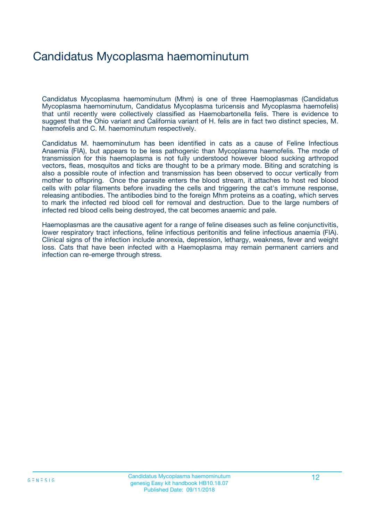## Candidatus Mycoplasma haemominutum

Candidatus Mycoplasma haemominutum (Mhm) is one of three Haemoplasmas (Candidatus Mycoplasma haemominutum, Candidatus Mycoplasma turicensis and Mycoplasma haemofelis) that until recently were collectively classified as Haemobartonella felis. There is evidence to suggest that the Ohio variant and California variant of H. felis are in fact two distinct species, M. haemofelis and C. M. haemominutum respectively.

Candidatus M. haemominutum has been identified in cats as a cause of Feline Infectious Anaemia (FIA), but appears to be less pathogenic than Mycoplasma haemofelis. The mode of transmission for this haemoplasma is not fully understood however blood sucking arthropod vectors, fleas, mosquitos and ticks are thought to be a primary mode. Biting and scratching is also a possible route of infection and transmission has been observed to occur vertically from mother to offspring. Once the parasite enters the blood stream, it attaches to host red blood cells with polar filaments before invading the cells and triggering the cat's immune response, releasing antibodies. The antibodies bind to the foreign Mhm proteins as a coating, which serves to mark the infected red blood cell for removal and destruction. Due to the large numbers of infected red blood cells being destroyed, the cat becomes anaemic and pale.

Haemoplasmas are the causative agent for a range of feline diseases such as feline conjunctivitis, lower respiratory tract infections, feline infectious peritonitis and feline infectious anaemia (FIA). Clinical signs of the infection include anorexia, depression, lethargy, weakness, fever and weight loss. Cats that have been infected with a Haemoplasma may remain permanent carriers and infection can re-emerge through stress.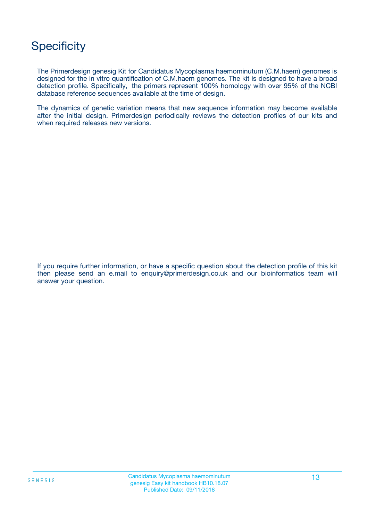## **Specificity**

The Primerdesign genesig Kit for Candidatus Mycoplasma haemominutum (C.M.haem) genomes is designed for the in vitro quantification of C.M.haem genomes. The kit is designed to have a broad detection profile. Specifically, the primers represent 100% homology with over 95% of the NCBI database reference sequences available at the time of design.

The dynamics of genetic variation means that new sequence information may become available after the initial design. Primerdesign periodically reviews the detection profiles of our kits and when required releases new versions.

If you require further information, or have a specific question about the detection profile of this kit then please send an e.mail to enquiry@primerdesign.co.uk and our bioinformatics team will answer your question.